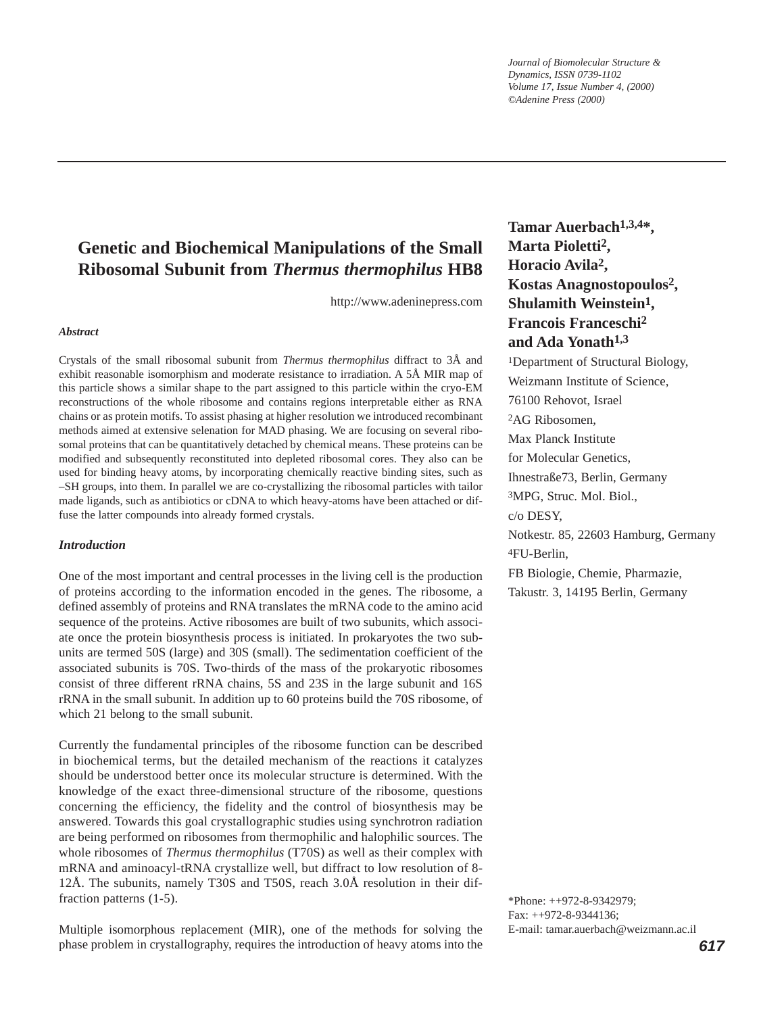*Journal of Biomolecular Structure & Dynamics, ISSN 0739-1102 Volume 17, Issue Number 4, (2000) ©Adenine Press (2000)*

# **Genetic and Biochemical Manipulations of the Small Ribosomal Subunit from** *Thermus thermophilus* **HB8**

http://www.adeninepress.com

# *Abstract*

Crystals of the small ribosomal subunit from *Thermus thermophilus* diffract to 3Å and exhibit reasonable isomorphism and moderate resistance to irradiation. A 5Å MIR map of this particle shows a similar shape to the part assigned to this particle within the cryo-EM reconstructions of the whole ribosome and contains regions interpretable either as RNA chains or as protein motifs. To assist phasing at higher resolution we introduced recombinant methods aimed at extensive selenation for MAD phasing. We are focusing on several ribosomal proteins that can be quantitatively detached by chemical means. These proteins can be modified and subsequently reconstituted into depleted ribosomal cores. They also can be used for binding heavy atoms, by incorporating chemically reactive binding sites, such as –SH groups, into them. In parallel we are co-crystallizing the ribosomal particles with tailor made ligands, such as antibiotics or cDNA to which heavy-atoms have been attached or diffuse the latter compounds into already formed crystals.

### *Introduction*

One of the most important and central processes in the living cell is the production of proteins according to the information encoded in the genes. The ribosome, a defined assembly of proteins and RNA translates the mRNA code to the amino acid sequence of the proteins. Active ribosomes are built of two subunits, which associate once the protein biosynthesis process is initiated. In prokaryotes the two subunits are termed 50S (large) and 30S (small). The sedimentation coefficient of the associated subunits is 70S. Two-thirds of the mass of the prokaryotic ribosomes consist of three different rRNA chains, 5S and 23S in the large subunit and 16S rRNA in the small subunit. In addition up to 60 proteins build the 70S ribosome, of which 21 belong to the small subunit.

Currently the fundamental principles of the ribosome function can be described in biochemical terms, but the detailed mechanism of the reactions it catalyzes should be understood better once its molecular structure is determined. With the knowledge of the exact three-dimensional structure of the ribosome, questions concerning the efficiency, the fidelity and the control of biosynthesis may be answered. Towards this goal crystallographic studies using synchrotron radiation are being performed on ribosomes from thermophilic and halophilic sources. The whole ribosomes of *Thermus thermophilus* (T70S) as well as their complex with mRNA and aminoacyl-tRNA crystallize well, but diffract to low resolution of 8- 12Å. The subunits, namely T30S and T50S, reach 3.0Å resolution in their diffraction patterns (1-5).

Multiple isomorphous replacement (MIR), one of the methods for solving the phase problem in crystallography, requires the introduction of heavy atoms into the

**Tamar Auerbach1,3,4\*, Marta Pioletti2, Horacio Avila2, Kostas Anagnostopoulos2, Shulamith Weinstein1, Francois Franceschi2 and Ada Yonath1,3** 1Department of Structural Biology, Weizmann Institute of Science, 76100 Rehovot, Israel 2AG Ribosomen, Max Planck Institute for Molecular Genetics, Ihnestraße73, Berlin, Germany 3MPG, Struc. Mol. Biol., c/o DESY, Notkestr. 85, 22603 Hamburg, Germany 4FU-Berlin, FB Biologie, Chemie, Pharmazie, Takustr. 3, 14195 Berlin, Germany

\*Phone: ++972-8-9342979; Fax: ++972-8-9344136; E-mail: tamar.auerbach@weizmann.ac.il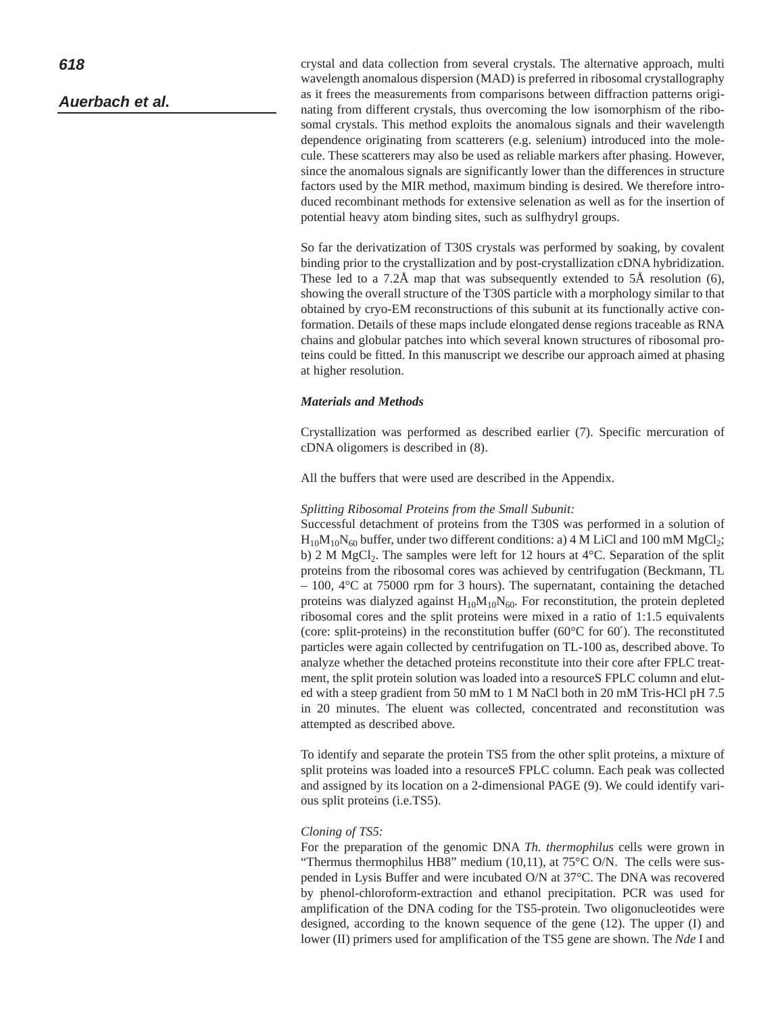crystal and data collection from several crystals. The alternative approach, multi wavelength anomalous dispersion (MAD) is preferred in ribosomal crystallography as it frees the measurements from comparisons between diffraction patterns originating from different crystals, thus overcoming the low isomorphism of the ribosomal crystals. This method exploits the anomalous signals and their wavelength dependence originating from scatterers (e.g. selenium) introduced into the molecule. These scatterers may also be used as reliable markers after phasing. However, since the anomalous signals are significantly lower than the differences in structure factors used by the MIR method, maximum binding is desired. We therefore introduced recombinant methods for extensive selenation as well as for the insertion of potential heavy atom binding sites, such as sulfhydryl groups.

So far the derivatization of T30S crystals was performed by soaking, by covalent binding prior to the crystallization and by post-crystallization cDNA hybridization. These led to a 7.2Å map that was subsequently extended to 5Å resolution (6), showing the overall structure of the T30S particle with a morphology similar to that obtained by cryo-EM reconstructions of this subunit at its functionally active conformation. Details of these maps include elongated dense regions traceable as RNA chains and globular patches into which several known structures of ribosomal proteins could be fitted. In this manuscript we describe our approach aimed at phasing at higher resolution.

# *Materials and Methods*

Crystallization was performed as described earlier (7). Specific mercuration of cDNA oligomers is described in (8).

All the buffers that were used are described in the Appendix.

#### *Splitting Ribosomal Proteins from the Small Subunit:*

Successful detachment of proteins from the T30S was performed in a solution of  $H_{10}M_{10}N_{60}$  buffer, under two different conditions: a) 4 M LiCl and 100 mM MgCl<sub>2</sub>; b) 2 M MgCl<sub>2</sub>. The samples were left for 12 hours at  $4^{\circ}$ C. Separation of the split proteins from the ribosomal cores was achieved by centrifugation (Beckmann, TL  $-100$ ,  $4^{\circ}$ C at 75000 rpm for 3 hours). The supernatant, containing the detached proteins was dialyzed against  $H_{10}M_{10}N_{60}$ . For reconstitution, the protein depleted ribosomal cores and the split proteins were mixed in a ratio of 1:1.5 equivalents (core: split-proteins) in the reconstitution buffer ( $60^{\circ}$ C for  $60'$ ). The reconstituted particles were again collected by centrifugation on TL-100 as, described above. To analyze whether the detached proteins reconstitute into their core after FPLC treatment, the split protein solution was loaded into a resourceS FPLC column and eluted with a steep gradient from 50 mM to 1 M NaCl both in 20 mM Tris-HCl pH 7.5 in 20 minutes. The eluent was collected, concentrated and reconstitution was attempted as described above.

To identify and separate the protein TS5 from the other split proteins, a mixture of split proteins was loaded into a resourceS FPLC column. Each peak was collected and assigned by its location on a 2-dimensional PAGE (9). We could identify various split proteins (i.e.TS5).

### *Cloning of TS5:*

For the preparation of the genomic DNA *Th. thermophilus* cells were grown in "Thermus thermophilus HB8" medium (10,11), at  $75^{\circ}$ C O/N. The cells were suspended in Lysis Buffer and were incubated O/N at 37°C. The DNA was recovered by phenol-chloroform-extraction and ethanol precipitation. PCR was used for amplification of the DNA coding for the TS5-protein. Two oligonucleotides were designed, according to the known sequence of the gene (12). The upper (I) and lower (II) primers used for amplification of the TS5 gene are shown. The *Nde* I and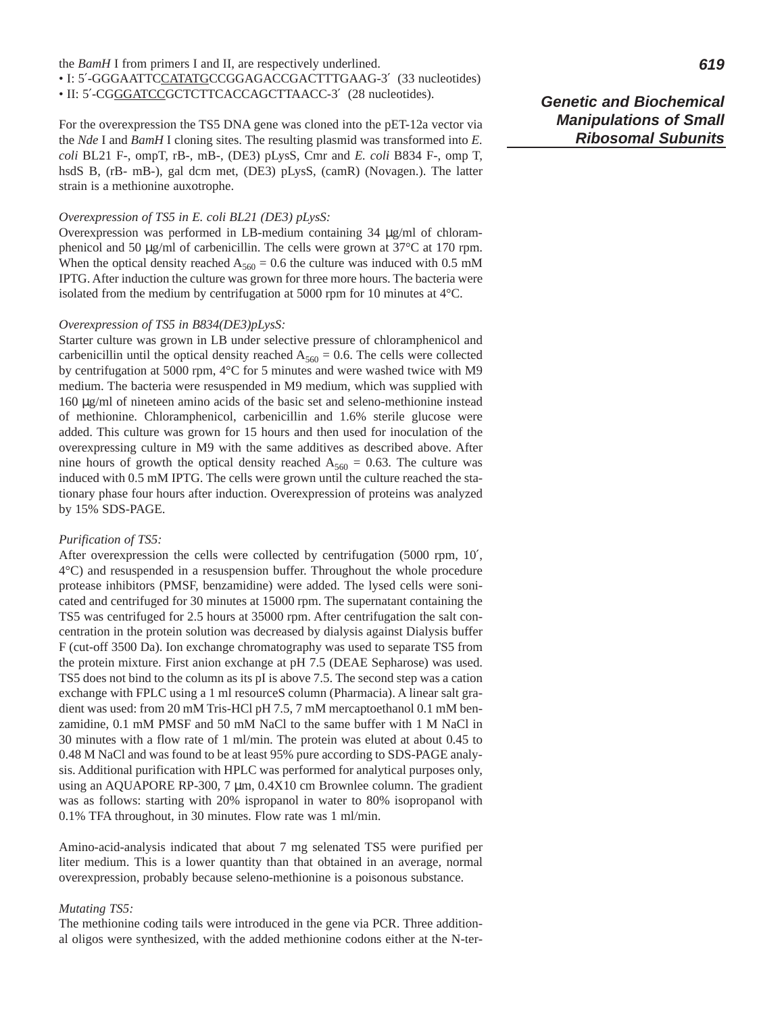#### the *BamH* I from primers I and II, are respectively underlined.

• I: 5′-GGGAATTCCATATGCCGGAGACCGACTTTGAAG-3′ (33 nucleotides) • II: 5′-CGGGATCCGCTCTTCACCAGCTTAACC-3′ (28 nucleotides).

For the overexpression the TS5 DNA gene was cloned into the pET-12a vector via the *Nde* I and *BamH* I cloning sites. The resulting plasmid was transformed into *E. coli* BL21 F-, ompT, rB-, mB-, (DE3) pLysS, Cmr and *E. coli* B834 F-, omp T, hsdS B, (rB- mB-), gal dcm met, (DE3) pLysS, (camR) (Novagen.). The latter strain is a methionine auxotrophe.

# *Overexpression of TS5 in E. coli BL21 (DE3) pLysS:*

Overexpression was performed in LB-medium containing 34 µg/ml of chloramphenicol and 50 µg/ml of carbenicillin. The cells were grown at 37°C at 170 rpm. When the optical density reached  $A_{560} = 0.6$  the culture was induced with 0.5 mM IPTG. After induction the culture was grown for three more hours. The bacteria were isolated from the medium by centrifugation at 5000 rpm for 10 minutes at 4°C.

# *Overexpression of TS5 in B834(DE3)pLysS:*

Starter culture was grown in LB under selective pressure of chloramphenicol and carbenicillin until the optical density reached  $A_{560} = 0.6$ . The cells were collected by centrifugation at 5000 rpm, 4°C for 5 minutes and were washed twice with M9 medium. The bacteria were resuspended in M9 medium, which was supplied with 160 µg/ml of nineteen amino acids of the basic set and seleno-methionine instead of methionine. Chloramphenicol, carbenicillin and 1.6% sterile glucose were added. This culture was grown for 15 hours and then used for inoculation of the overexpressing culture in M9 with the same additives as described above. After nine hours of growth the optical density reached  $A_{560} = 0.63$ . The culture was induced with 0.5 mM IPTG. The cells were grown until the culture reached the stationary phase four hours after induction. Overexpression of proteins was analyzed by 15% SDS-PAGE.

#### *Purification of TS5:*

After overexpression the cells were collected by centrifugation (5000 rpm, 10′, 4°C) and resuspended in a resuspension buffer. Throughout the whole procedure protease inhibitors (PMSF, benzamidine) were added. The lysed cells were sonicated and centrifuged for 30 minutes at 15000 rpm. The supernatant containing the TS5 was centrifuged for 2.5 hours at 35000 rpm. After centrifugation the salt concentration in the protein solution was decreased by dialysis against Dialysis buffer F (cut-off 3500 Da). Ion exchange chromatography was used to separate TS5 from the protein mixture. First anion exchange at pH 7.5 (DEAE Sepharose) was used. TS5 does not bind to the column as its pI is above 7.5. The second step was a cation exchange with FPLC using a 1 ml resourceS column (Pharmacia). A linear salt gradient was used: from 20 mM Tris-HCl pH 7.5, 7 mM mercaptoethanol 0.1 mM benzamidine, 0.1 mM PMSF and 50 mM NaCl to the same buffer with 1 M NaCl in 30 minutes with a flow rate of 1 ml/min. The protein was eluted at about 0.45 to 0.48 M NaCl and was found to be at least 95% pure according to SDS-PAGE analysis. Additional purification with HPLC was performed for analytical purposes only, using an AQUAPORE RP-300, 7 µm, 0.4X10 cm Brownlee column. The gradient was as follows: starting with 20% ispropanol in water to 80% isopropanol with 0.1% TFA throughout, in 30 minutes. Flow rate was 1 ml/min.

Amino-acid-analysis indicated that about 7 mg selenated TS5 were purified per liter medium. This is a lower quantity than that obtained in an average, normal overexpression, probably because seleno-methionine is a poisonous substance.

# *Mutating TS5:*

The methionine coding tails were introduced in the gene via PCR. Three additional oligos were synthesized, with the added methionine codons either at the N-ter-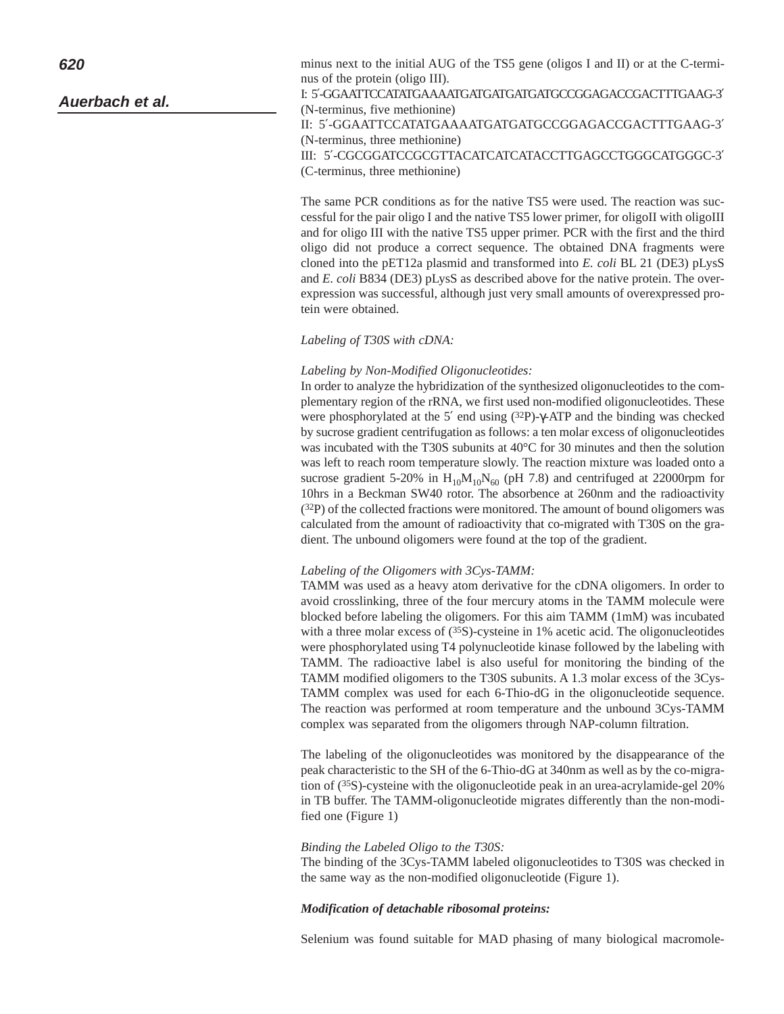# **Auerbach et al.**

minus next to the initial AUG of the TS5 gene (oligos I and II) or at the C-terminus of the protein (oligo III). I: 5′-GGAATTCCATATGAAAATGATGATGATGATGCCGGAGACCGACTTTGAAG-3′ (N-terminus, five methionine) II: 5′-GGAATTCCATATGAAAATGATGATGCCGGAGACCGACTTTGAAG-3′ (N-terminus, three methionine) III: 5′-CGCGGATCCGCGTTACATCATCATACCTTGAGCCTGGGCATGGGC-3′ (C-terminus, three methionine)

The same PCR conditions as for the native TS5 were used. The reaction was successful for the pair oligo I and the native TS5 lower primer, for oligoII with oligoIII and for oligo III with the native TS5 upper primer. PCR with the first and the third oligo did not produce a correct sequence. The obtained DNA fragments were cloned into the pET12a plasmid and transformed into *E. coli* BL 21 (DE3) pLysS and *E. coli* B834 (DE3) pLysS as described above for the native protein. The overexpression was successful, although just very small amounts of overexpressed protein were obtained.

### *Labeling of T30S with cDNA:*

### *Labeling by Non-Modified Oligonucleotides:*

In order to analyze the hybridization of the synthesized oligonucleotides to the complementary region of the rRNA, we first used non-modified oligonucleotides. These were phosphorylated at the 5′ end using (32P)-γ-ATP and the binding was checked by sucrose gradient centrifugation as follows: a ten molar excess of oligonucleotides was incubated with the T30S subunits at 40°C for 30 minutes and then the solution was left to reach room temperature slowly. The reaction mixture was loaded onto a sucrose gradient 5-20% in  $H_{10}M_{10}N_{60}$  (pH 7.8) and centrifuged at 22000rpm for 10hrs in a Beckman SW40 rotor. The absorbence at 260nm and the radioactivity (32P) of the collected fractions were monitored. The amount of bound oligomers was calculated from the amount of radioactivity that co-migrated with T30S on the gradient. The unbound oligomers were found at the top of the gradient.

#### *Labeling of the Oligomers with 3Cys-TAMM:*

TAMM was used as a heavy atom derivative for the cDNA oligomers. In order to avoid crosslinking, three of the four mercury atoms in the TAMM molecule were blocked before labeling the oligomers. For this aim TAMM (1mM) was incubated with a three molar excess of  $(35S)$ -cysteine in 1% acetic acid. The oligonucleotides were phosphorylated using T4 polynucleotide kinase followed by the labeling with TAMM. The radioactive label is also useful for monitoring the binding of the TAMM modified oligomers to the T30S subunits. A 1.3 molar excess of the 3Cys-TAMM complex was used for each 6-Thio-dG in the oligonucleotide sequence. The reaction was performed at room temperature and the unbound 3Cys-TAMM complex was separated from the oligomers through NAP-column filtration.

The labeling of the oligonucleotides was monitored by the disappearance of the peak characteristic to the SH of the 6-Thio-dG at 340nm as well as by the co-migration of (35S)-cysteine with the oligonucleotide peak in an urea-acrylamide-gel 20% in TB buffer. The TAMM-oligonucleotide migrates differently than the non-modified one (Figure 1)

### *Binding the Labeled Oligo to the T30S:*

The binding of the 3Cys-TAMM labeled oligonucleotides to T30S was checked in the same way as the non-modified oligonucleotide (Figure 1).

#### *Modification of detachable ribosomal proteins:*

Selenium was found suitable for MAD phasing of many biological macromole-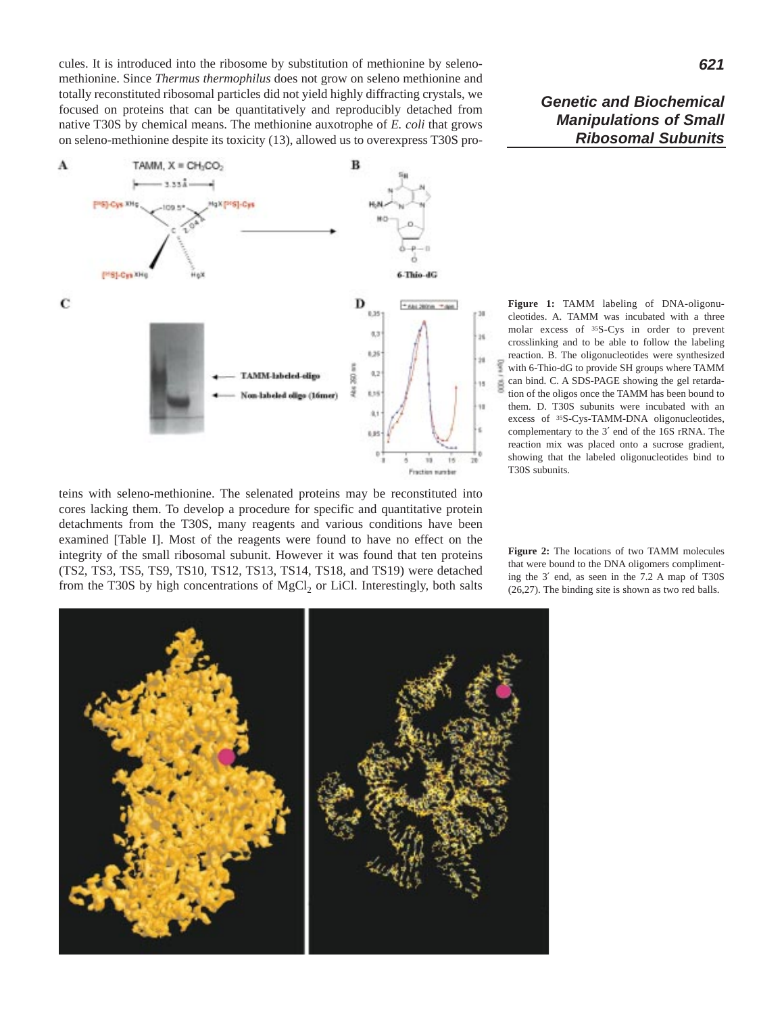cules. It is introduced into the ribosome by substitution of methionine by selenomethionine. Since *Thermus thermophilus* does not grow on seleno methionine and totally reconstituted ribosomal particles did not yield highly diffracting crystals, we focused on proteins that can be quantitatively and reproducibly detached from native T30S by chemical means. The methionine auxotrophe of *E. coli* that grows on seleno-methionine despite its toxicity (13), allowed us to overexpress T30S pro-



teins with seleno-methionine. The selenated proteins may be reconstituted into cores lacking them. To develop a procedure for specific and quantitative protein detachments from the T30S, many reagents and various conditions have been examined [Table I]. Most of the reagents were found to have no effect on the integrity of the small ribosomal subunit. However it was found that ten proteins (TS2, TS3, TS5, TS9, TS10, TS12, TS13, TS14, TS18, and TS19) were detached from the T30S by high concentrations of  $MgCl<sub>2</sub>$  or LiCl. Interestingly, both salts

**Figure 1:** TAMM labeling of DNA-oligonucleotides. A. TAMM was incubated with a three molar excess of 35S-Cys in order to prevent crosslinking and to be able to follow the labeling reaction. B. The oligonucleotides were synthesized with 6-Thio-dG to provide SH groups where TAMM can bind. C. A SDS-PAGE showing the gel retardation of the oligos once the TAMM has been bound to them. D. T30S subunits were incubated with an excess of 35S-Cys-TAMM-DNA oligonucleotides, complementary to the 3′ end of the 16S rRNA. The reaction mix was placed onto a sucrose gradient, showing that the labeled oligonucleotides bind to T30S subunits.

**Figure 2:** The locations of two TAMM molecules that were bound to the DNA oligomers complimenting the 3′ end, as seen in the 7.2 A map of T30S (26,27). The binding site is shown as two red balls.

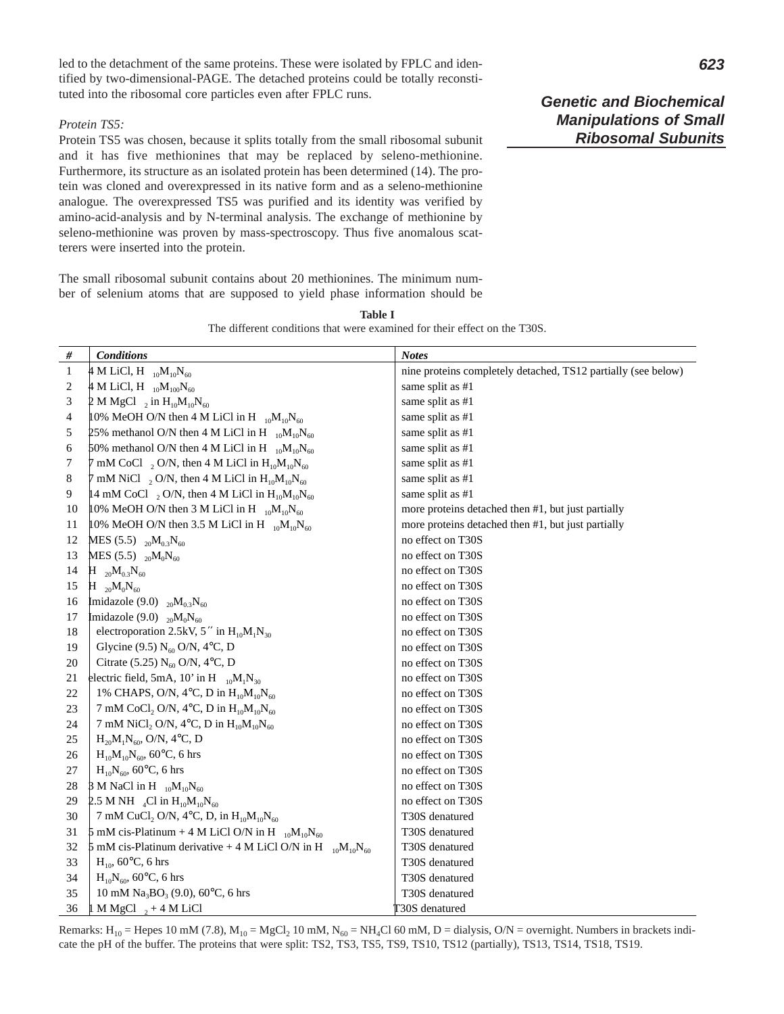led to the detachment of the same proteins. These were isolated by FPLC and identified by two-dimensional-PAGE. The detached proteins could be totally reconstituted into the ribosomal core particles even after FPLC runs.

#### *Protein TS5:*

Protein TS5 was chosen, because it splits totally from the small ribosomal subunit and it has five methionines that may be replaced by seleno-methionine. Furthermore, its structure as an isolated protein has been determined (14). The protein was cloned and overexpressed in its native form and as a seleno-methionine analogue. The overexpressed TS5 was purified and its identity was verified by amino-acid-analysis and by N-terminal analysis. The exchange of methionine by seleno-methionine was proven by mass-spectroscopy. Thus five anomalous scatterers were inserted into the protein.

The small ribosomal subunit contains about 20 methionines. The minimum number of selenium atoms that are supposed to yield phase information should be **Genetic and Biochemical Manipulations of Small Ribosomal Subunits**

| $\#$  | <b>Conditions</b>                                                    | <b>Notes</b>                                                  |
|-------|----------------------------------------------------------------------|---------------------------------------------------------------|
| $1\,$ | 4 M LiCl, H $_{10}M_{10}N_{60}$                                      | nine proteins completely detached, TS12 partially (see below) |
| 2     | 4 M LiCl, H $_{10}M_{100}N_{60}$                                     | same split as #1                                              |
| 3     | 2 M MgCl $_2$ in H <sub>10</sub> M <sub>10</sub> N <sub>60</sub>     | same split as #1                                              |
| 4     | 10% MeOH O/N then 4 M LiCl in H $_{10}M_{10}N_{60}$                  | same split as #1                                              |
| 5     | 25% methanol O/N then 4 M LiCl in H $_{10}M_{10}N_{60}$              | same split as #1                                              |
| 6     | 50% methanol O/N then 4 M LiCl in H $_{10}M_{10}N_{60}$              | same split as #1                                              |
| 7     | 7 mM CoCl $_2$ O/N, then 4 M LiCl in $H_{10}M_{10}N_{60}$            | same split as #1                                              |
| 8     | 7 mM NiCl $_2$ O/N, then 4 M LiCl in $H_{10}M_{10}N_{60}$            | same split as #1                                              |
| 9     | 14 mM CoCl $_2$ O/N, then 4 M LiCl in $H_{10}M_{10}N_{60}$           | same split as #1                                              |
| 10    | 10% MeOH O/N then 3 M LiCl in H $_{10}M_{10}N_{60}$                  | more proteins detached then #1, but just partially            |
| 11    | 10% MeOH O/N then 3.5 M LiCl in H $_{10}M_{10}N_{60}$                | more proteins detached then #1, but just partially            |
| 12    | MES (5.5) $_{20}M_{0.3}N_{60}$                                       | no effect on T30S                                             |
| 13    | MES (5.5) $_{20}M_0N_{60}$                                           | no effect on T30S                                             |
| 14    | $H_{20}M_{0.3}N_{60}$                                                | no effect on T30S                                             |
| 15    | $H_{20}M_0N_{60}$                                                    | no effect on T30S                                             |
| 16    | Imidazole (9.0) $_{20}M_{0.3}N_{60}$                                 | no effect on T30S                                             |
| 17    | Imidazole (9.0) $_{20}M_0N_{60}$                                     | no effect on T30S                                             |
| 18    | electroporation 2.5kV, 5" in $H_{10}M_1N_{30}$                       | no effect on T30S                                             |
| 19    | Glycine (9.5) $N_{60}$ O/N, 4°C, D                                   | no effect on T30S                                             |
| 20    | Citrate (5.25) $N_{60}$ O/N, 4°C, D                                  | no effect on T30S                                             |
| 21    | electric field, 5mA, 10' in H $_{10}M_1N_{30}$                       | no effect on T30S                                             |
| 22    | 1% CHAPS, O/N, 4°C, D in $H_{10}M_{10}N_{60}$                        | no effect on T30S                                             |
| 23    | 7 mM CoCl <sub>2</sub> O/N, 4°C, D in $H_{10}M_{10}N_{60}$           | no effect on T30S                                             |
| 24    | 7 mM NiCl <sub>2</sub> O/N, 4°C, D in $H_{10}M_{10}N_{60}$           | no effect on T30S                                             |
| 25    | $H_{20}M_1N_{60}$ , O/N, 4°C, D                                      | no effect on T30S                                             |
| 26    | $H_{10}M_{10}N_{60}$ , 60°C, 6 hrs                                   | no effect on T30S                                             |
| 27    | $H_{10}N_{60}$ , 60°C, 6 hrs                                         | no effect on T30S                                             |
| 28    | 3 M NaCl in H $_{10}M_{10}N_{60}$                                    | no effect on T30S                                             |
| 29    | 2.5 M NH <sub>4</sub> Cl in $H_{10}M_{10}N_{60}$                     | no effect on T30S                                             |
| 30    | 7 mM CuCl <sub>2</sub> O/N, 4°C, D, in $H_{10}M_{10}N_{60}$          | T30S denatured                                                |
| 31    | 5 mM cis-Platinum + 4 M LiCl O/N in H $_{10}M_{10}N_{60}$            | T30S denatured                                                |
| 32    | 5 mM cis-Platinum derivative + 4 M LiCl O/N in H $_{10}M_{10}N_{60}$ | T30S denatured                                                |
| 33    | $H_{10}$ , 60°C, 6 hrs                                               | T30S denatured                                                |
| 34    | $H_{10}N_{60}$ , 60°C, 6 hrs                                         | T30S denatured                                                |
| 35    | 10 mM Na <sub>3</sub> BO <sub>3</sub> (9.0), 60 $^{\circ}$ C, 6 hrs  | T30S denatured                                                |

**Table I** The different conditions that were examined for their effect on the T30S.

Remarks: H<sub>10</sub> = Hepes 10 mM (7.8), M<sub>10</sub> = MgCl<sub>2</sub> 10 mM, N<sub>60</sub> = NH<sub>4</sub>Cl 60 mM, D = dialysis, O/N = overnight. Numbers in brackets indicate the pH of the buffer. The proteins that were split: TS2, TS3, TS5, TS9, TS10, TS12 (partially), TS13, TS14, TS18, TS19.

 $36 \left| 1 \text{ M MgCl }_{2} + 4 \text{ M LiCl} \right|$  T30S denatured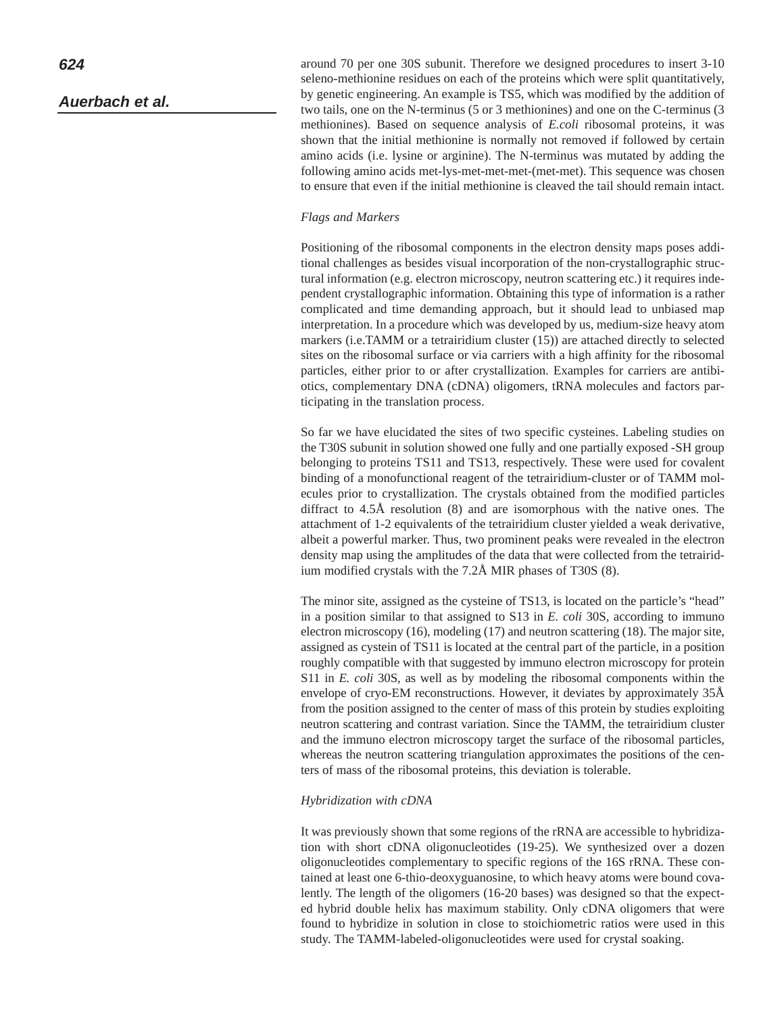around 70 per one 30S subunit. Therefore we designed procedures to insert 3-10 seleno-methionine residues on each of the proteins which were split quantitatively, by genetic engineering. An example is TS5, which was modified by the addition of two tails, one on the N-terminus (5 or 3 methionines) and one on the C-terminus (3 methionines). Based on sequence analysis of *E.coli* ribosomal proteins, it was shown that the initial methionine is normally not removed if followed by certain amino acids (i.e. lysine or arginine). The N-terminus was mutated by adding the following amino acids met-lys-met-met-met-(met-met). This sequence was chosen to ensure that even if the initial methionine is cleaved the tail should remain intact.

# *Flags and Markers*

Positioning of the ribosomal components in the electron density maps poses additional challenges as besides visual incorporation of the non-crystallographic structural information (e.g. electron microscopy, neutron scattering etc.) it requires independent crystallographic information. Obtaining this type of information is a rather complicated and time demanding approach, but it should lead to unbiased map interpretation. In a procedure which was developed by us, medium-size heavy atom markers (i.e.TAMM or a tetrairidium cluster (15)) are attached directly to selected sites on the ribosomal surface or via carriers with a high affinity for the ribosomal particles, either prior to or after crystallization. Examples for carriers are antibiotics, complementary DNA (cDNA) oligomers, tRNA molecules and factors participating in the translation process.

So far we have elucidated the sites of two specific cysteines. Labeling studies on the T30S subunit in solution showed one fully and one partially exposed -SH group belonging to proteins TS11 and TS13, respectively. These were used for covalent binding of a monofunctional reagent of the tetrairidium-cluster or of TAMM molecules prior to crystallization. The crystals obtained from the modified particles diffract to 4.5Å resolution (8) and are isomorphous with the native ones. The attachment of 1-2 equivalents of the tetrairidium cluster yielded a weak derivative, albeit a powerful marker. Thus, two prominent peaks were revealed in the electron density map using the amplitudes of the data that were collected from the tetrairidium modified crystals with the 7.2Å MIR phases of T30S (8).

The minor site, assigned as the cysteine of TS13, is located on the particle's "head" in a position similar to that assigned to S13 in *E. coli* 30S, according to immuno electron microscopy (16), modeling (17) and neutron scattering (18). The major site, assigned as cystein of TS11 is located at the central part of the particle, in a position roughly compatible with that suggested by immuno electron microscopy for protein S11 in *E. coli* 30S, as well as by modeling the ribosomal components within the envelope of cryo-EM reconstructions. However, it deviates by approximately 35Å from the position assigned to the center of mass of this protein by studies exploiting neutron scattering and contrast variation. Since the TAMM, the tetrairidium cluster and the immuno electron microscopy target the surface of the ribosomal particles, whereas the neutron scattering triangulation approximates the positions of the centers of mass of the ribosomal proteins, this deviation is tolerable.

### *Hybridization with cDNA*

It was previously shown that some regions of the rRNA are accessible to hybridization with short cDNA oligonucleotides (19-25). We synthesized over a dozen oligonucleotides complementary to specific regions of the 16S rRNA. These contained at least one 6-thio-deoxyguanosine, to which heavy atoms were bound covalently. The length of the oligomers (16-20 bases) was designed so that the expected hybrid double helix has maximum stability. Only cDNA oligomers that were found to hybridize in solution in close to stoichiometric ratios were used in this study. The TAMM-labeled-oligonucleotides were used for crystal soaking.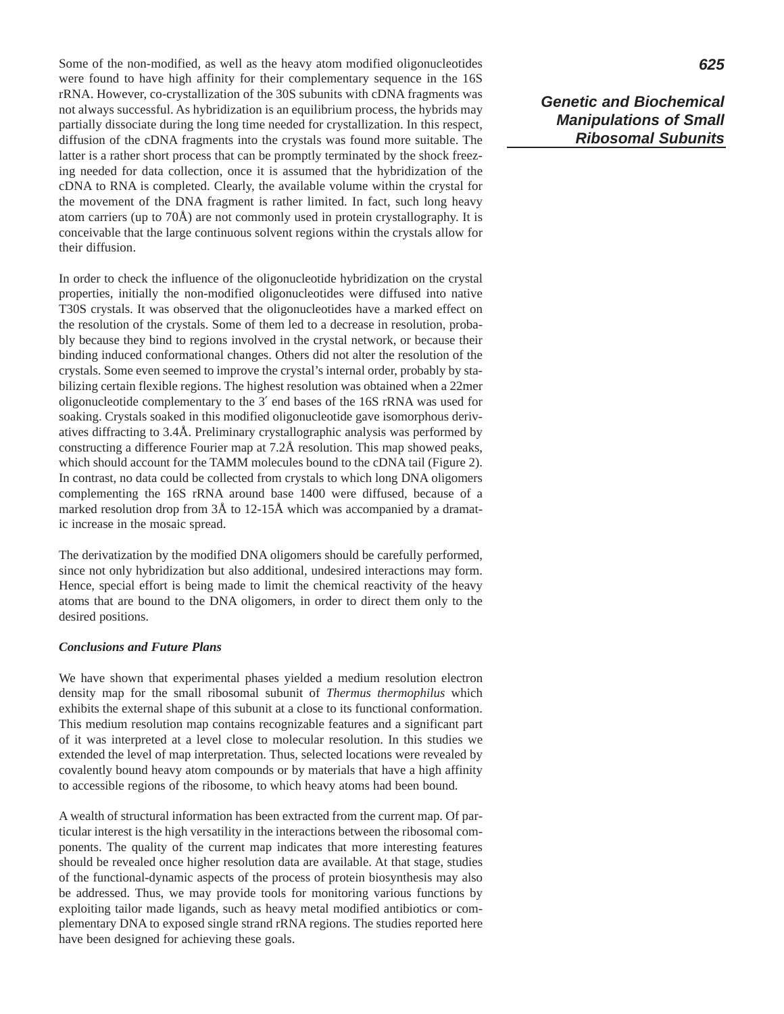Some of the non-modified, as well as the heavy atom modified oligonucleotides were found to have high affinity for their complementary sequence in the 16S rRNA. However, co-crystallization of the 30S subunits with cDNA fragments was not always successful. As hybridization is an equilibrium process, the hybrids may partially dissociate during the long time needed for crystallization. In this respect, diffusion of the cDNA fragments into the crystals was found more suitable. The latter is a rather short process that can be promptly terminated by the shock freezing needed for data collection, once it is assumed that the hybridization of the cDNA to RNA is completed. Clearly, the available volume within the crystal for the movement of the DNA fragment is rather limited. In fact, such long heavy atom carriers (up to 70Å) are not commonly used in protein crystallography. It is conceivable that the large continuous solvent regions within the crystals allow for their diffusion.

In order to check the influence of the oligonucleotide hybridization on the crystal properties, initially the non-modified oligonucleotides were diffused into native T30S crystals. It was observed that the oligonucleotides have a marked effect on the resolution of the crystals. Some of them led to a decrease in resolution, probably because they bind to regions involved in the crystal network, or because their binding induced conformational changes. Others did not alter the resolution of the crystals. Some even seemed to improve the crystal's internal order, probably by stabilizing certain flexible regions. The highest resolution was obtained when a 22mer oligonucleotide complementary to the 3′ end bases of the 16S rRNA was used for soaking. Crystals soaked in this modified oligonucleotide gave isomorphous derivatives diffracting to 3.4Å. Preliminary crystallographic analysis was performed by constructing a difference Fourier map at 7.2Å resolution. This map showed peaks, which should account for the TAMM molecules bound to the cDNA tail (Figure 2). In contrast, no data could be collected from crystals to which long DNA oligomers complementing the 16S rRNA around base 1400 were diffused, because of a marked resolution drop from 3Å to 12-15Å which was accompanied by a dramatic increase in the mosaic spread.

The derivatization by the modified DNA oligomers should be carefully performed, since not only hybridization but also additional, undesired interactions may form. Hence, special effort is being made to limit the chemical reactivity of the heavy atoms that are bound to the DNA oligomers, in order to direct them only to the desired positions.

# *Conclusions and Future Plans*

We have shown that experimental phases yielded a medium resolution electron density map for the small ribosomal subunit of *Thermus thermophilus* which exhibits the external shape of this subunit at a close to its functional conformation. This medium resolution map contains recognizable features and a significant part of it was interpreted at a level close to molecular resolution. In this studies we extended the level of map interpretation. Thus, selected locations were revealed by covalently bound heavy atom compounds or by materials that have a high affinity to accessible regions of the ribosome, to which heavy atoms had been bound.

A wealth of structural information has been extracted from the current map. Of particular interest is the high versatility in the interactions between the ribosomal components. The quality of the current map indicates that more interesting features should be revealed once higher resolution data are available. At that stage, studies of the functional-dynamic aspects of the process of protein biosynthesis may also be addressed. Thus, we may provide tools for monitoring various functions by exploiting tailor made ligands, such as heavy metal modified antibiotics or complementary DNA to exposed single strand rRNA regions. The studies reported here have been designed for achieving these goals.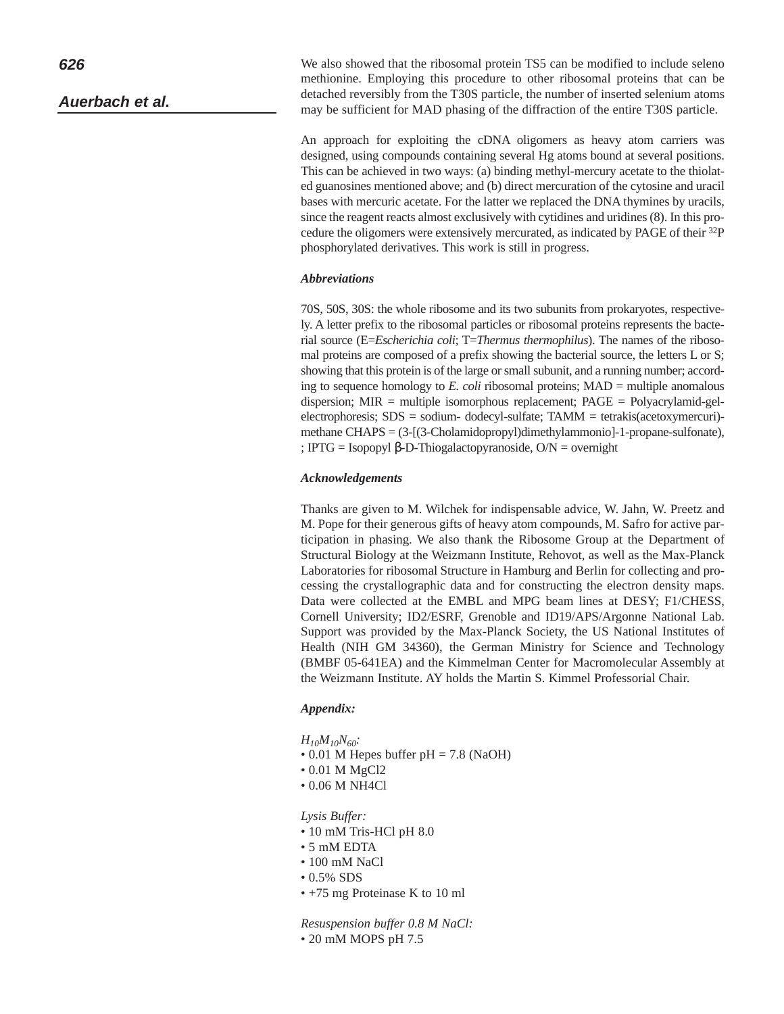**Auerbach et al.**

We also showed that the ribosomal protein TS5 can be modified to include seleno methionine. Employing this procedure to other ribosomal proteins that can be detached reversibly from the T30S particle, the number of inserted selenium atoms may be sufficient for MAD phasing of the diffraction of the entire T30S particle.

An approach for exploiting the cDNA oligomers as heavy atom carriers was designed, using compounds containing several Hg atoms bound at several positions. This can be achieved in two ways: (a) binding methyl-mercury acetate to the thiolated guanosines mentioned above; and (b) direct mercuration of the cytosine and uracil bases with mercuric acetate. For the latter we replaced the DNA thymines by uracils, since the reagent reacts almost exclusively with cytidines and uridines (8). In this procedure the oligomers were extensively mercurated, as indicated by PAGE of their 32P phosphorylated derivatives. This work is still in progress.

# *Abbreviations*

70S, 50S, 30S: the whole ribosome and its two subunits from prokaryotes, respectively. A letter prefix to the ribosomal particles or ribosomal proteins represents the bacterial source (E=*Escherichia coli*; T=*Thermus thermophilus*). The names of the ribosomal proteins are composed of a prefix showing the bacterial source, the letters L or S; showing that this protein is of the large or small subunit, and a running number; according to sequence homology to *E. coli* ribosomal proteins; MAD = multiple anomalous dispersion; MIR = multiple isomorphous replacement; PAGE = Polyacrylamid-gelelectrophoresis; SDS = sodium- dodecyl-sulfate; TAMM = tetrakis(acetoxymercuri) methane CHAPS = (3-[(3-Cholamidopropyl)dimethylammonio]-1-propane-sulfonate), ; IPTG = Isopopyl β-D-Thiogalactopyranoside, O/N = overnight

# *Acknowledgements*

Thanks are given to M. Wilchek for indispensable advice, W. Jahn, W. Preetz and M. Pope for their generous gifts of heavy atom compounds, M. Safro for active participation in phasing. We also thank the Ribosome Group at the Department of Structural Biology at the Weizmann Institute, Rehovot, as well as the Max-Planck Laboratories for ribosomal Structure in Hamburg and Berlin for collecting and processing the crystallographic data and for constructing the electron density maps. Data were collected at the EMBL and MPG beam lines at DESY; F1/CHESS, Cornell University; ID2/ESRF, Grenoble and ID19/APS/Argonne National Lab. Support was provided by the Max-Planck Society, the US National Institutes of Health (NIH GM 34360), the German Ministry for Science and Technology (BMBF 05-641EA) and the Kimmelman Center for Macromolecular Assembly at the Weizmann Institute. AY holds the Martin S. Kimmel Professorial Chair.

# *Appendix:*

- *H10M10N60:*
- 0.01 M Hepes buffer  $pH = 7.8$  (NaOH)
- 0.01 M MgCl2
- 0.06 M NH4Cl

*Lysis Buffer:*

- 10 mM Tris-HCl pH 8.0
- 5 mM EDTA
- 100 mM NaCl
- 0.5% SDS
- +75 mg Proteinase K to 10 ml

*Resuspension buffer 0.8 M NaCl:*

• 20 mM MOPS pH 7.5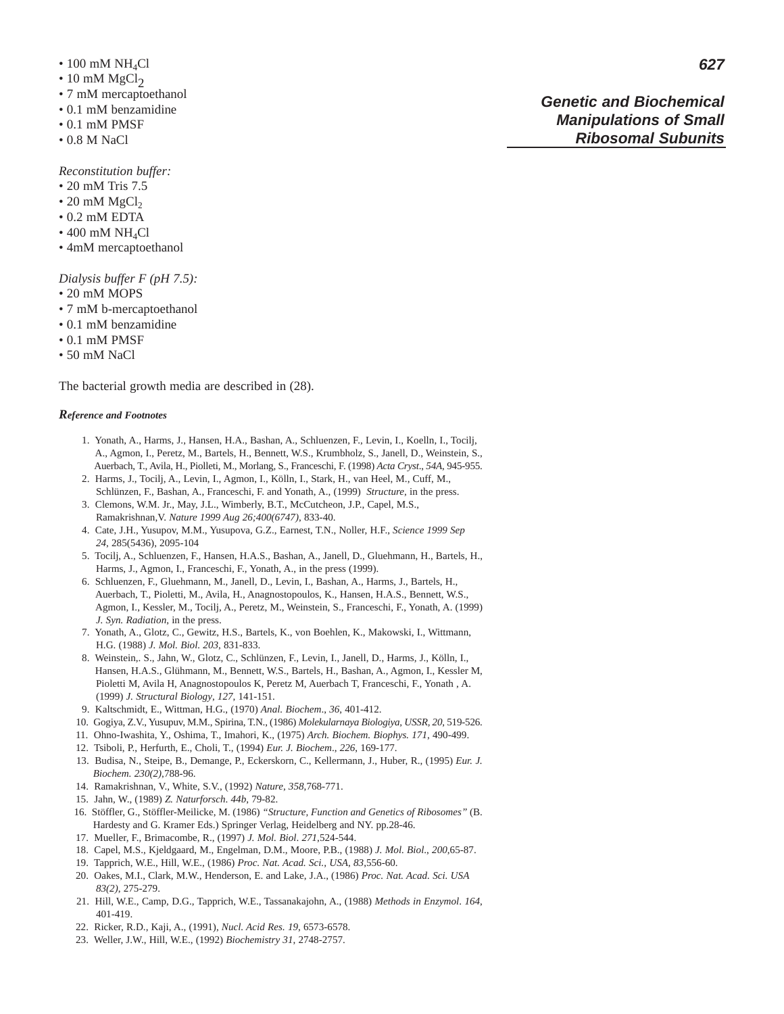- $\bullet$  100 mM NH<sub>4</sub>Cl
- $\cdot$  10 mM MgCl<sub>2</sub>
- 7 mM mercaptoethanol
- 0.1 mM benzamidine
- 0.1 mM PMSF
- 0.8 M NaCl

*Reconstitution buffer:*

- 20 mM Tris 7.5
- $\cdot$  20 mM MgCl<sub>2</sub>
- 0.2 mM EDTA
- $\bullet$  400 mM NH<sub>4</sub>Cl
- 4mM mercaptoethanol

*Dialysis buffer F (pH 7.5):*

- 20 mM MOPS
- 7 mM b-mercaptoethanol
- 0.1 mM benzamidine
- 0.1 mM PMSF
- 50 mM NaCl

The bacterial growth media are described in (28).

#### *Reference and Footnotes*

- 1. Yonath, A., Harms, J., Hansen, H.A., Bashan, A., Schluenzen, F., Levin, I., Koelln, I., Tocilj, A., Agmon, I., Peretz, M., Bartels, H., Bennett, W.S., Krumbholz, S., Janell, D., Weinstein, S., Auerbach, T., Avila, H., Piolleti, M., Morlang, S., Franceschi, F. (1998) *Acta Cryst*., *54A*, 945-955.
- 2. Harms, J., Tocilj, A., Levin, I., Agmon, I., Kölln, I., Stark, H., van Heel, M., Cuff, M., Schlünzen, F., Bashan, A., Franceschi, F. and Yonath, A., (1999) *Structure*, in the press.
- 3. Clemons, W.M. Jr., May, J.L., Wimberly, B.T., McCutcheon, J.P., Capel, M.S., Ramakrishnan,V. *Nature 1999 Aug 26;400(6747)*, 833-40.
- 4. Cate, J.H., Yusupov, M.M., Yusupova, G.Z., Earnest, T.N., Noller, H.F., *Science 1999 Sep 24*, 285(5436), 2095-104
- 5. Tocilj, A., Schluenzen, F., Hansen, H.A.S., Bashan, A., Janell, D., Gluehmann, H., Bartels, H., Harms, J., Agmon, I., Franceschi, F., Yonath, A., in the press (1999).
- 6. Schluenzen, F., Gluehmann, M., Janell, D., Levin, I., Bashan, A., Harms, J., Bartels, H., Auerbach, T., Pioletti, M., Avila, H., Anagnostopoulos, K., Hansen, H.A.S., Bennett, W.S., Agmon, I., Kessler, M., Tocilj, A., Peretz, M., Weinstein, S., Franceschi, F., Yonath, A. (1999) *J. Syn. Radiation*, in the press.
- 7. Yonath, A., Glotz, C., Gewitz, H.S., Bartels, K., von Boehlen, K., Makowski, I., Wittmann, H.G. (1988) *J. Mol. Biol. 203*, 831-833.
- 8. Weinstein,. S., Jahn, W., Glotz, C., Schlünzen, F., Levin, I., Janell, D., Harms, J., Kölln, I., Hansen, H.A.S., Glühmann, M., Bennett, W.S., Bartels, H., Bashan, A., Agmon, I., Kessler M, Pioletti M, Avila H, Anagnostopoulos K, Peretz M, Auerbach T, Franceschi, F., Yonath , A. (1999) *J. Structural Biology*, *127*, 141-151.
- 9. Kaltschmidt, E., Wittman, H.G., (1970) *Anal. Biochem*., *36*, 401-412.
- 10. Gogiya, Z.V., Yusupuv, M.M., Spirina, T.N., (1986) *Molekularnaya Biologiya, USSR, 20*, 519-526.
- 11. Ohno-Iwashita, Y., Oshima, T., Imahori, K., (1975) *Arch. Biochem. Biophys. 171*, 490-499.
- 12. Tsiboli, P., Herfurth, E., Choli, T., (1994) *Eur. J. Biochem*., *226*, 169-177.
- 13. Budisa, N., Steipe, B., Demange, P., Eckerskorn, C., Kellermann, J., Huber, R., (1995) *Eur. J. Biochem. 230(2)*,788-96.
- 14. Ramakrishnan, V., White, S.V., (1992) *Nature*, *358*,768-771.
- 15. Jahn, W., (1989) *Z. Naturforsch*. *44b*, 79-82.
- 16. Stöffler, G., Stöffler-Meilicke, M. (1986) *"Structure, Function and Genetics of Ribosomes"* (B. Hardesty and G. Kramer Eds.) Springer Verlag, Heidelberg and NY. pp.28-46.
- 17. Mueller, F., Brimacombe, R., (1997) *J. Mol. Biol*. *271*,524-544.
- 18. Capel, M.S., Kjeldgaard, M., Engelman, D.M., Moore, P.B., (1988) *J. Mol. Biol*., *200*,65-87.
- 19. Tapprich, W.E., Hill, W.E., (1986) *Proc. Nat. Acad. Sci., USA*, *83*,556-60.
- 20. Oakes, M.I., Clark, M.W., Henderson, E. and Lake, J.A., (1986) *Proc. Nat. Acad. Sci. USA 83(2)*, 275-279.
- 21. Hill, W.E., Camp, D.G., Tapprich, W.E., Tassanakajohn, A., (1988) *Methods in Enzymol*. *164*, 401-419.
- 22. Ricker, R.D., Kaji, A., (1991), *Nucl. Acid Res. 19*, 6573-6578.
- 23. Weller, J.W., Hill, W.E., (1992) *Biochemistry 31*, 2748-2757.